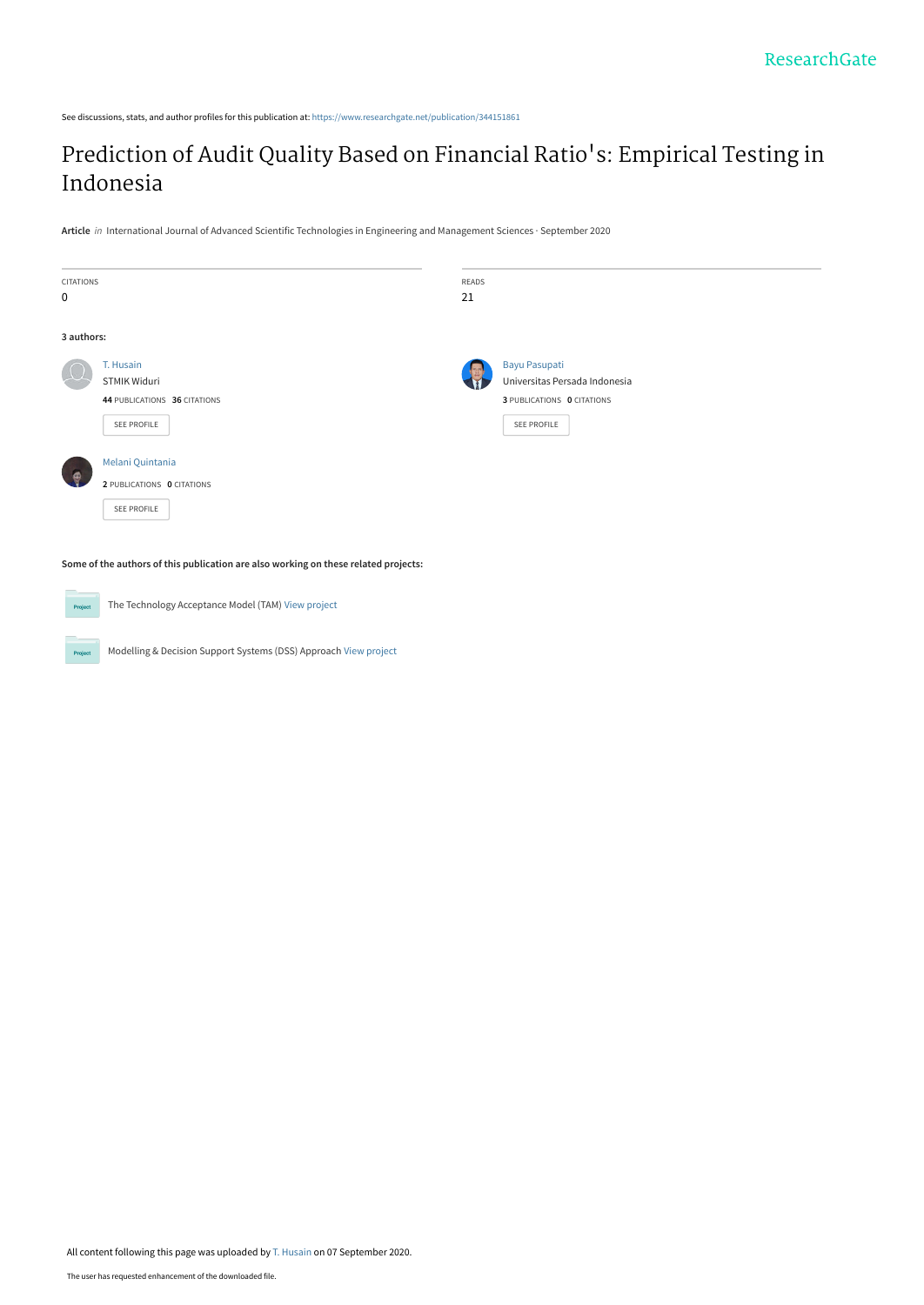See discussions, stats, and author profiles for this publication at: [https://www.researchgate.net/publication/344151861](https://www.researchgate.net/publication/344151861_Prediction_of_Audit_Quality_Based_on_Financial_Ratio%27s_Empirical_Testing_in_Indonesia?enrichId=rgreq-9b8502f20e4a534fcb0756970d4635c8-XXX&enrichSource=Y292ZXJQYWdlOzM0NDE1MTg2MTtBUzo5MzMwMzY0MTc4NzU5NzFAMTU5OTQ2NDYyNTk1OQ%3D%3D&el=1_x_2&_esc=publicationCoverPdf)

## [Prediction of Audit Quality Based on Financial Ratio](https://www.researchgate.net/publication/344151861_Prediction_of_Audit_Quality_Based_on_Financial_Ratio%27s_Empirical_Testing_in_Indonesia?enrichId=rgreq-9b8502f20e4a534fcb0756970d4635c8-XXX&enrichSource=Y292ZXJQYWdlOzM0NDE1MTg2MTtBUzo5MzMwMzY0MTc4NzU5NzFAMTU5OTQ2NDYyNTk1OQ%3D%3D&el=1_x_3&_esc=publicationCoverPdf)'s: Empirical Testing in Indonesia

**Article** in International Journal of Advanced Scientific Technologies in Engineering and Management Sciences · September 2020



**Some of the authors of this publication are also working on these related projects:**

The Technology Acceptance Model (TAM) [View project](https://www.researchgate.net/project/The-Technology-Acceptance-Model-TAM?enrichId=rgreq-9b8502f20e4a534fcb0756970d4635c8-XXX&enrichSource=Y292ZXJQYWdlOzM0NDE1MTg2MTtBUzo5MzMwMzY0MTc4NzU5NzFAMTU5OTQ2NDYyNTk1OQ%3D%3D&el=1_x_9&_esc=publicationCoverPdf) Project Modelling & Decision Support Systems (DSS) Approach [View project](https://www.researchgate.net/project/Modelling-Decision-Support-Systems-DSS-Approach?enrichId=rgreq-9b8502f20e4a534fcb0756970d4635c8-XXX&enrichSource=Y292ZXJQYWdlOzM0NDE1MTg2MTtBUzo5MzMwMzY0MTc4NzU5NzFAMTU5OTQ2NDYyNTk1OQ%3D%3D&el=1_x_9&_esc=publicationCoverPdf)  $P_{\rm TC}$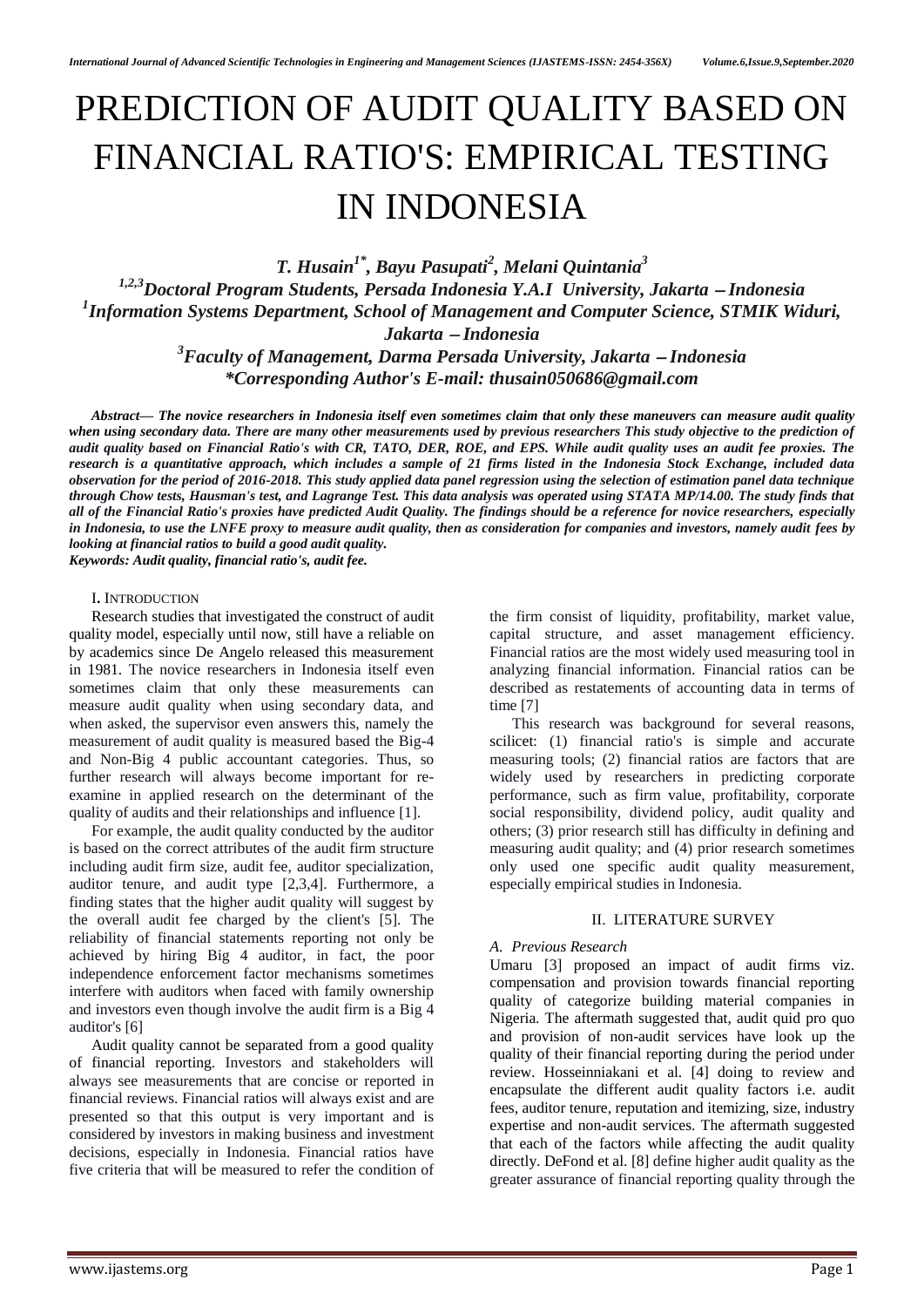# PREDICTION OF AUDIT QUALITY BASED ON FINANCIAL RATIO'S: EMPIRICAL TESTING IN INDONESIA

*T. Husain1\* , Bayu Pasupati<sup>2</sup> , Melani Quintania<sup>3</sup> 1,2,3Doctoral Program Students, Persada Indonesia Y.A.I University, Jakarta Indonesia 1 Information Systems Department, School of Management and Computer Science, STMIK Widuri, Jakarta Indonesia*

> *<sup>3</sup>Faculty of Management, Darma Persada University, Jakarta Indonesia \*Corresponding Author's E-mail: thusain050686@gmail.com*

*Abstract— The novice researchers in Indonesia itself even sometimes claim that only these maneuvers can measure audit quality when using secondary data. There are many other measurements used by previous researchers This study objective to the prediction of audit quality based on Financial Ratio's with CR, TATO, DER, ROE, and EPS. While audit quality uses an audit fee proxies. The research is a quantitative approach, which includes a sample of 21 firms listed in the Indonesia Stock Exchange, included data observation for the period of 2016-2018. This study applied data panel regression using the selection of estimation panel data technique through Chow tests, Hausman's test, and Lagrange Test. This data analysis was operated using STATA MP/14.00. The study finds that all of the Financial Ratio's proxies have predicted Audit Quality. The findings should be a reference for novice researchers, especially in Indonesia, to use the LNFE proxy to measure audit quality, then as consideration for companies and investors, namely audit fees by looking at financial ratios to build a good audit quality. Keywords: Audit quality, financial ratio's, audit fee.*

#### I**.** INTRODUCTION

Research studies that investigated the construct of audit quality model, especially until now, still have a reliable on by academics since De Angelo released this measurement in 1981. The novice researchers in Indonesia itself even sometimes claim that only these measurements can measure audit quality when using secondary data, and when asked, the supervisor even answers this, namely the measurement of audit quality is measured based the Big-4 and Non-Big 4 public accountant categories. Thus, so further research will always become important for reexamine in applied research on the determinant of the quality of audits and their relationships and influence [1].

For example, the audit quality conducted by the auditor is based on the correct attributes of the audit firm structure including audit firm size, audit fee, auditor specialization, auditor tenure, and audit type [2,3,4]. Furthermore, a finding states that the higher audit quality will suggest by the overall audit fee charged by the client's [5]. The reliability of financial statements reporting not only be achieved by hiring Big 4 auditor, in fact, the poor independence enforcement factor mechanisms sometimes interfere with auditors when faced with family ownership and investors even though involve the audit firm is a Big 4 auditor's [6]

Audit quality cannot be separated from a good quality of financial reporting. Investors and stakeholders will always see measurements that are concise or reported in financial reviews. Financial ratios will always exist and are presented so that this output is very important and is considered by investors in making business and investment decisions, especially in Indonesia. Financial ratios have five criteria that will be measured to refer the condition of the firm consist of liquidity, profitability, market value, capital structure, and asset management efficiency. Financial ratios are the most widely used measuring tool in analyzing financial information. Financial ratios can be described as restatements of accounting data in terms of time [7]

This research was background for several reasons, scilicet: (1) financial ratio's is simple and accurate measuring tools; (2) financial ratios are factors that are widely used by researchers in predicting corporate performance, such as firm value, profitability, corporate social responsibility, dividend policy, audit quality and others; (3) prior research still has difficulty in defining and measuring audit quality; and (4) prior research sometimes only used one specific audit quality measurement, especially empirical studies in Indonesia.

#### II. LITERATURE SURVEY

#### *A. Previous Research*

Umaru [3] proposed an impact of audit firms viz. compensation and provision towards financial reporting quality of categorize building material companies in Nigeria. The aftermath suggested that, audit quid pro quo and provision of non-audit services have look up the quality of their financial reporting during the period under review. Hosseinniakani et al. [4] doing to review and encapsulate the different audit quality factors i.e. audit fees, auditor tenure, reputation and itemizing, size, industry expertise and non-audit services. The aftermath suggested that each of the factors while affecting the audit quality directly. DeFond et al. [8] define higher audit quality as the greater assurance of financial reporting quality through the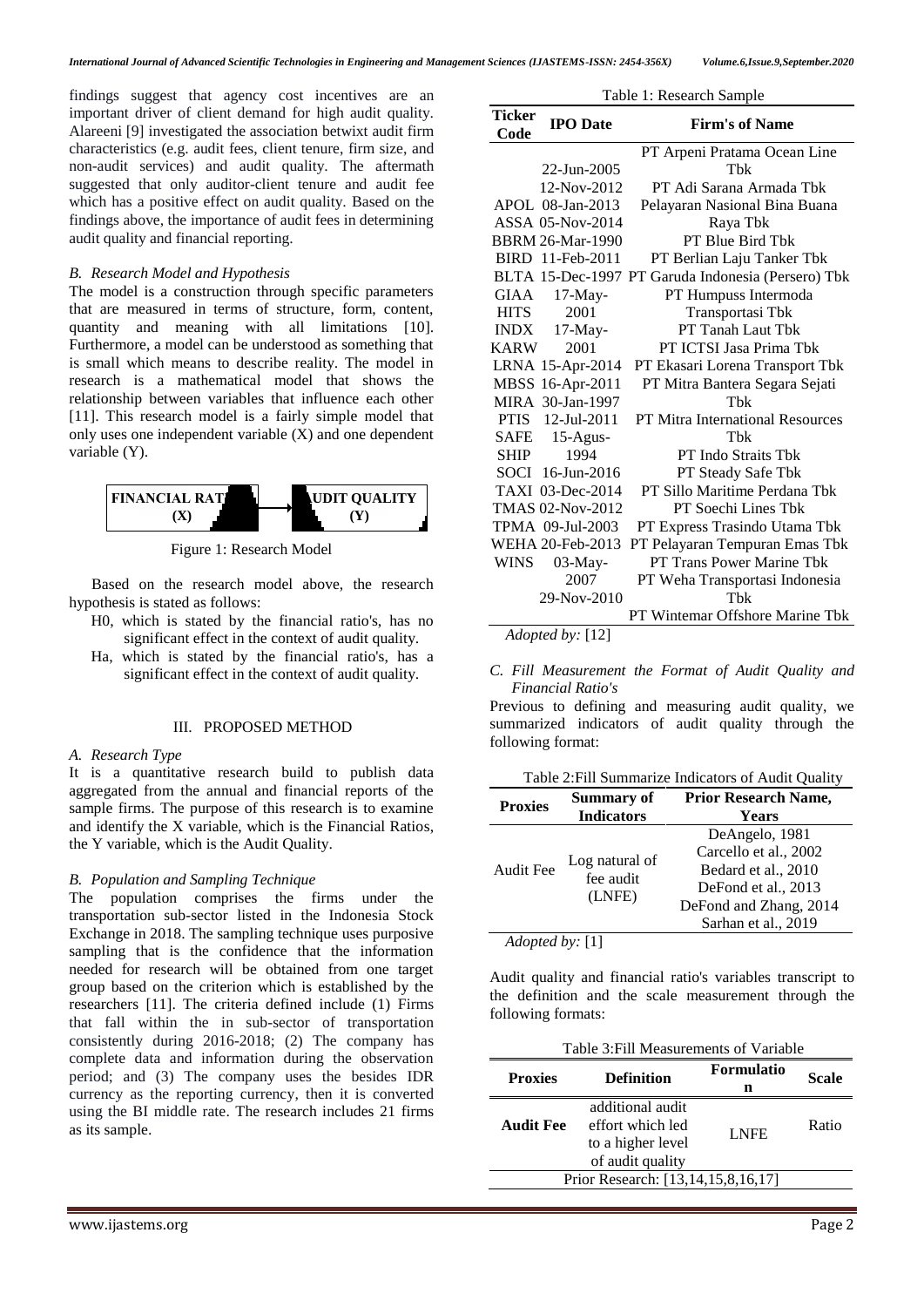findings suggest that agency cost incentives are an important driver of client demand for high audit quality. Alareeni [\[9\]](#page-5-0) investigated the association betwixt audit firm characteristics (e.g. audit fees, client tenure, firm size, and non-audit services) and audit quality. The aftermath suggested that only auditor-client tenure and audit fee which has a positive effect on audit quality. Based on the findings above, the importance of audit fees in determining audit quality and financial reporting.

#### *B. Research Model and Hypothesis*

The model is a construction through specific parameters that are measured in terms of structure, form, content, quantity and meaning with all limitations [\[10\]](#page-5-1). Furthermore, a model can be understood as something that is small which means to describe reality. The model in research is a mathematical model that shows the relationship between variables that influence each other [11]. This research model is a fairly simple model that only uses one independent variable (X) and one dependent variable (Y).



Figure 1: Research Model

Based on the research model above, the research hypothesis is stated as follows:

- H0, which is stated by the financial ratio's, has no significant effect in the context of audit quality.
- Ha, which is stated by the financial ratio's, has a significant effect in the context of audit quality.

#### III. PROPOSED METHOD

#### *A. Research Type*

It is a quantitative research build to publish data aggregated from the annual and financial reports of the sample firms. The purpose of this research is to examine and identify the X variable, which is the Financial Ratios, the Y variable, which is the Audit Quality.

#### *B. Population and Sampling Technique*

The population comprises the firms under the transportation sub-sector listed in the Indonesia Stock Exchange in 2018. The sampling technique uses purposive sampling that is the confidence that the information needed for research will be obtained from one target group based on the criterion which is established by the researchers [11]. The criteria defined include (1) Firms that fall within the in sub-sector of transportation consistently during 2016-2018; (2) The company has complete data and information during the observation period; and (3) The company uses the besides IDR currency as the reporting currency, then it is converted using the BI middle rate. The research includes 21 firms as its sample.

| Table 1: Research Sample |                         |                                                    |  |  |  |
|--------------------------|-------------------------|----------------------------------------------------|--|--|--|
| <b>Ticker</b><br>Code    | <b>IPO</b> Date         | <b>Firm's of Name</b>                              |  |  |  |
|                          |                         | PT Arpeni Pratama Ocean Line                       |  |  |  |
|                          | 22-Jun-2005             | Thk                                                |  |  |  |
|                          | 12-Nov-2012             | PT Adi Sarana Armada Thk                           |  |  |  |
|                          | APOL 08-Jan-2013        | Pelayaran Nasional Bina Buana                      |  |  |  |
|                          | <b>ASSA 05-Nov-2014</b> | Raya Tbk                                           |  |  |  |
|                          | <b>BBRM 26-Mar-1990</b> | PT Blue Bird Tbk                                   |  |  |  |
|                          | BIRD 11-Feb-2011        | PT Berlian Laju Tanker Tbk                         |  |  |  |
|                          |                         | BLTA 15-Dec-1997 PT Garuda Indonesia (Persero) Tbk |  |  |  |
| GIAA                     | $17$ -May-              | PT Humpuss Intermoda                               |  |  |  |
| <b>HITS</b>              | 2001                    | Transportasi Tbk                                   |  |  |  |
| <b>INDX</b>              | $17-May-$               | PT Tanah Laut Tbk                                  |  |  |  |
| KARW                     | 2001                    | PT ICTSI Jasa Prima Tbk                            |  |  |  |
|                          | LRNA 15-Apr-2014        | PT Ekasari Lorena Transport Tbk                    |  |  |  |
|                          | MBSS 16-Apr-2011        | PT Mitra Bantera Segara Sejati                     |  |  |  |
|                          | MIRA 30-Jan-1997        | Thk                                                |  |  |  |
|                          | PTIS 12-Jul-2011        | <b>PT Mitra International Resources</b>            |  |  |  |
|                          | SAFE 15-Agus-           | Thk                                                |  |  |  |
| <b>SHIP</b>              | 1994                    | PT Indo Straits Tbk                                |  |  |  |
|                          | SOCI 16-Jun-2016        | PT Steady Safe Tbk                                 |  |  |  |
|                          | TAXI 03-Dec-2014        | PT Sillo Maritime Perdana Tbk                      |  |  |  |
|                          | TMAS 02-Nov-2012        | PT Soechi Lines Tbk                                |  |  |  |
|                          | TPMA 09-Jul-2003        | PT Express Trasindo Utama Tbk                      |  |  |  |
|                          | <b>WEHA 20-Feb-2013</b> | PT Pelayaran Tempuran Emas Tbk                     |  |  |  |
| <b>WINS</b>              | $03$ -May-              | PT Trans Power Marine Tbk                          |  |  |  |
|                          | 2007                    | PT Weha Transportasi Indonesia                     |  |  |  |
|                          | 29-Nov-2010             | Thk                                                |  |  |  |
|                          |                         | PT Wintemar Offshore Marine Tbk                    |  |  |  |
|                          | Adopted by: [12]        |                                                    |  |  |  |

#### *C. Fill Measurement the Format of Audit Quality and Financial Ratio's*

Previous to defining and measuring audit quality, we summarized indicators of audit quality through the following format:

Table 2:Fill Summarize Indicators of Audit Quality

| <b>Proxies</b>                       | Summary of                            | <b>Prior Research Name,</b> |
|--------------------------------------|---------------------------------------|-----------------------------|
|                                      | <b>Indicators</b>                     | Years                       |
|                                      |                                       | DeAngelo, 1981              |
|                                      | Log natural of<br>fee audit<br>(LNFE) | Carcello et al., 2002       |
| <b>Audit Fee</b>                     |                                       | Bedard et al., 2010         |
|                                      |                                       | DeFond et al., 2013         |
|                                      |                                       | DeFond and Zhang, 2014      |
|                                      |                                       | Sarhan et al., 2019         |
| $\lambda$ domaged $\lambda$ barr [1] |                                       |                             |

*Adopted by:* [1]

Audit quality and financial ratio's variables transcript to the definition and the scale measurement through the following formats:

| Table 3: Fill Measurements of Variable |                                                                               |                 |              |  |  |  |  |
|----------------------------------------|-------------------------------------------------------------------------------|-----------------|--------------|--|--|--|--|
| <b>Proxies</b>                         | <b>Definition</b>                                                             | Formulatio<br>n | <b>Scale</b> |  |  |  |  |
| <b>Audit Fee</b>                       | additional audit<br>effort which led<br>to a higher level<br>of audit quality | <b>LNFE</b>     | Ratio        |  |  |  |  |
| Prior Research: [13,14,15,8,16,17]     |                                                                               |                 |              |  |  |  |  |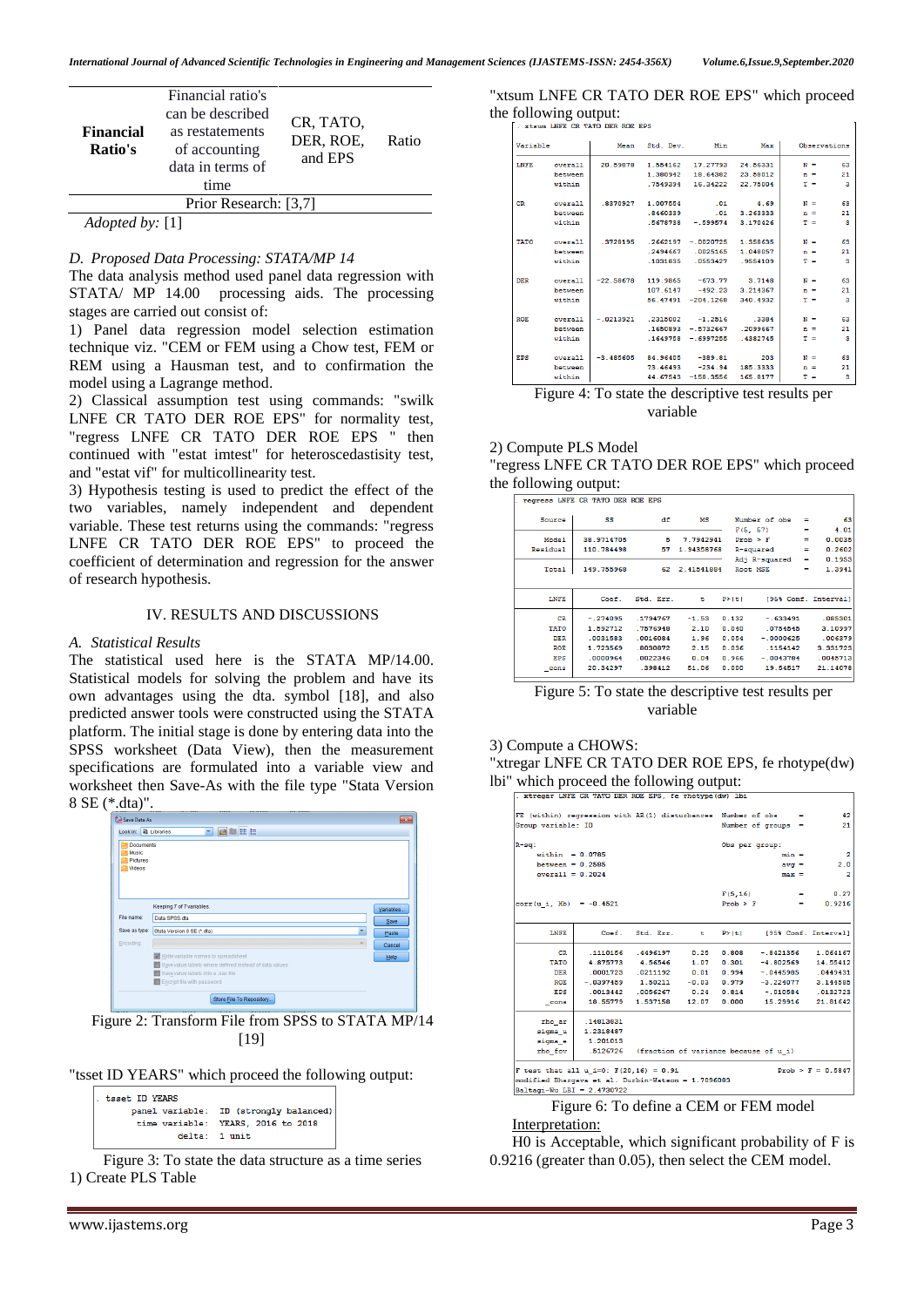| <b>Financial</b><br>Ratio's | Financial ratio's<br>can be described<br>as restatements<br>of accounting<br>data in terms of<br>time | CR, TATO,<br>DER, ROE,<br>and EPS | Ratio |
|-----------------------------|-------------------------------------------------------------------------------------------------------|-----------------------------------|-------|
|                             | Prior Research: [3,7]                                                                                 |                                   |       |
| $ -$<br>$\sim$              | - - -                                                                                                 |                                   |       |

*Adopted by:* [1]

#### *D. Proposed Data Processing: STATA/MP 14*

The data analysis method used panel data regression with STATA/ MP 14.00 processing aids. The processing stages are carried out consist of:

1) Panel data regression model selection estimation technique viz. "CEM or FEM using a Chow test, FEM or REM using a Hausman test, and to confirmation the model using a Lagrange method.

2) Classical assumption test using commands: "swilk LNFE CR TATO DER ROE EPS" for normality test, "regress LNFE CR TATO DER ROE EPS " then continued with "estat imtest" for heteroscedastisity test, and "estat vif" for multicollinearity test.

3) Hypothesis testing is used to predict the effect of the two variables, namely independent and dependent variable. These test returns using the commands: "regress LNFE CR TATO DER ROE EPS" to proceed the coefficient of determination and regression for the answer of research hypothesis.

#### IV. RESULTS AND DISCUSSIONS

#### *A. Statistical Results*

The statistical used here is the STATA MP/14.00. Statistical models for solving the problem and have its own advantages using the dta. symbol [\[18\]](#page-5-3), and also predicted answer tools were constructed using the STATA platform. The initial stage is done by entering data into the SPSS worksheet (Data View), then the measurement specifications are formulated into a variable view and worksheet then Save-As with the file type "Stata Version 8 SE (\*.dta)".



Figure 2: Transform File from SPSS to STATA MP/14 [19]

"tsset ID YEARS" which proceed the following output:

| tsset ID YEARS |                                        |  |  |  |  |  |  |  |
|----------------|----------------------------------------|--|--|--|--|--|--|--|
|                | panel variable: ID (strongly balanced) |  |  |  |  |  |  |  |
|                | time variable: YEARS, 2016 to 2018     |  |  |  |  |  |  |  |
| delta: 1 unit  |                                        |  |  |  |  |  |  |  |
|                |                                        |  |  |  |  |  |  |  |

Figure 3: To state the data structure as a time series 1) Create PLS Table

| "xtsum LNFE CR TATO DER ROE EPS" which proceed |
|------------------------------------------------|
| the following output:                          |
| whom INPP CP wasn need one and                 |

| Variable    |          |                                           |                                  | Mean Std. Dev. Min      | Max      | Observations |                         |
|-------------|----------|-------------------------------------------|----------------------------------|-------------------------|----------|--------------|-------------------------|
| LNFE        | overall  | 20.59878                                  | 1.554162                         | 17.27793                | 24.56331 | $N =$        | 63                      |
|             | hetween  |                                           | 1 380942                         | 18 64382                | 23 58012 | $n =$        | 21                      |
|             | within   |                                           | .7549394                         | 16.34222                | 22.75004 | $T =$        | $\overline{\mathbf{3}}$ |
| <b>CR</b>   | overall  |                                           | $.8370927$ 1.007554              | $\overline{01}$         | 4.69     | $N =$        | 63                      |
|             | between  |                                           | .8460339                         | $\overline{01}$         | 3.263333 | $n =$        | 21                      |
|             | within   |                                           | 5678738                          | $-.599574$              | 3.170426 | $T =$        | $\overline{\mathbf{3}}$ |
| <b>TATO</b> | overall. |                                           | $.3728195$ $.2662197 - 0020725$  |                         | 1.358635 | $N =$        | 63                      |
|             | between  |                                           | .2494667                         | .0025165                | 1.048057 | $n =$        | 21                      |
|             | within   |                                           | 1031835                          | 0553427                 | 9554109  | $T =$        | -3                      |
| <b>DER</b>  | overall  | $-22.58678$                               |                                  | 119.9865 -673.77 3.7148 |          | $N =$        | 63                      |
|             | between  |                                           | 107.6147                         | $-492.23$               | 3.214367 | $n =$        | 21                      |
|             | within   |                                           | 56.47491                         | $-204.1268$             | 340.4932 | $T =$        | - 3                     |
| <b>ROE</b>  | overall  | $-0.0213921$ $.2315002$ $-1.2516$ $.3384$ |                                  |                         |          | $N =$        | 63                      |
|             | hetween  |                                           | 1650893                          | $-5732667$              | 2099667  | $n =$        | 21                      |
|             | within   |                                           | .1649758                         | $-.6997255$             | .4382745 | $T =$        | - 3                     |
| EPS         | overall  |                                           | $-3.485605$ $84.96405$ $-389.81$ |                         | 203      | $N =$        | 63                      |
|             | between  |                                           | 73.46493                         | $-234.94$               | 185.3333 | $n =$        | 21                      |
|             | within   |                                           | 44.67543                         | $-158.3556$             | 165.8177 | $T =$        | 3                       |

Figure 4: To state the descriptive test results per variable

#### 2) Compute PLS Model

"regress LNFE CR TATO DER ROE EPS" which proceed the following output:

|                                  |  | . |  |  |
|----------------------------------|--|---|--|--|
| regresse LNFF CR TATO DER FOR FR |  |   |  |  |

|            | regress LNFE CR TATO DER ROE EPS |           |            |        |               |   |                      |
|------------|----------------------------------|-----------|------------|--------|---------------|---|----------------------|
| Source     | SS                               | df        | мs         |        | Number of obs | - | 63                   |
|            |                                  |           |            |        | F(5, 57)      |   | 4.01                 |
| Model      | 38.9714705                       | 5         | 7.7942941  |        | $Prob$ > $F$  |   | 0.0035               |
| Residual   | 110.784498                       | 57        | 1.94358768 |        | R-squared     | - | 0.2602               |
|            |                                  |           |            |        | Adj R-squared | = | 0.1953               |
| Total      | 149.755968                       | 62        | 2.41541884 |        | Root MSE      | = | 1.3941               |
|            |                                  |           |            |        |               |   |                      |
| LNFE       | Coef.                            | Std. Err. | t          | P >  t |               |   | [95% Conf. Interval] |
| <b>CR</b>  | $-.274095$                       | .1794767  | $-1.53$    | 0.132  | $-.633491$    |   | .085301              |
| TATO       | 1.592712                         | .7576948  | 2.10       | 0.040  | .0754545      |   | 3.10997              |
| <b>DER</b> | .0031583                         | .0016084  | 1.96       | 0.054  | $-.0000625$   |   | .006379              |
| <b>ROE</b> | 1.723569                         | 8030872   | 2.15       | 0.036  | 1154142       |   | 3.331723             |
| EPS        | .0000964                         | .0022346  | 0.04       | 0.966  | $-.0043784$   |   | .0045713             |
| cons       | 20.34297                         | .398412   | 51.06      | 0.000  | 19.54517      |   | 21.14078             |

Figure 5: To state the descriptive test results per variable

#### 3) Compute a CHOWS:

"xtregar LNFE CR TATO DER ROE EPS, fe rhotype(dw) lbi" which proceed the following output:

|                                                                                                 |                                                                                                                                                                                                                                                                                                                                    | . Yorkanit mikr an itil man ima min' fi finning (Au) thi |              |                |                                                        |                      |
|-------------------------------------------------------------------------------------------------|------------------------------------------------------------------------------------------------------------------------------------------------------------------------------------------------------------------------------------------------------------------------------------------------------------------------------------|----------------------------------------------------------|--------------|----------------|--------------------------------------------------------|----------------------|
| FE (within) regression with AR(1) disturbances Number of obs =                                  |                                                                                                                                                                                                                                                                                                                                    |                                                          |              |                |                                                        | 42                   |
| Group variable: ID                                                                              |                                                                                                                                                                                                                                                                                                                                    |                                                          |              |                | Number of groups $=$                                   | 21                   |
| R-sq:                                                                                           |                                                                                                                                                                                                                                                                                                                                    |                                                          |              | Obs per group: |                                                        |                      |
| $within = 0.0785$                                                                               |                                                                                                                                                                                                                                                                                                                                    |                                                          |              |                | $min =$                                                | $\overline{2}$       |
| between = $0.2585$                                                                              |                                                                                                                                                                                                                                                                                                                                    |                                                          |              |                | $av\sigma =$                                           | 2.0                  |
| $overall = 0.2024$                                                                              |                                                                                                                                                                                                                                                                                                                                    |                                                          |              |                | $max =$                                                | $\overline{2}$       |
|                                                                                                 |                                                                                                                                                                                                                                                                                                                                    |                                                          |              | F(5, 16)       | <b>Contract Contract</b>                               | 0.27                 |
| corr(u i, Xb) = $-0.4521$                                                                       |                                                                                                                                                                                                                                                                                                                                    |                                                          |              | Prob > F       | <b>Service</b>                                         | 0.9216               |
| <b>LNFE</b>                                                                                     |                                                                                                                                                                                                                                                                                                                                    | Coef. Std. Err.                                          |              | t P>iti        |                                                        | [95% Conf. Interval] |
| <b>CR</b>                                                                                       |                                                                                                                                                                                                                                                                                                                                    | .1110156 .4496197                                        | 0.25         |                | $0.808 - .8421356$                                     | 1.064167             |
| <b>TATO</b>                                                                                     |                                                                                                                                                                                                                                                                                                                                    | 4.875773 4.56546                                         |              |                | $1.07$ $0.301$ $-4.802569$                             | 14.55412             |
| <b>DER</b>                                                                                      |                                                                                                                                                                                                                                                                                                                                    | $.0001723$ $.0211192$                                    | $0.01$ 0.994 |                | $-0.445985$                                            | .0449431             |
| <b>ROK</b>                                                                                      |                                                                                                                                                                                                                                                                                                                                    |                                                          |              |                | $-.0397459$ 1.50211 $-0.03$ 0.979 $-3.224077$ 3.144585 |                      |
| EPS                                                                                             |                                                                                                                                                                                                                                                                                                                                    | $.0013442$ $.0056267$ 0.24                               |              |                | $0.814 - 010584$ .0132723                              |                      |
| cons                                                                                            |                                                                                                                                                                                                                                                                                                                                    | 18.55779 1.537158                                        | 12.07        | 0.000          | 15.29916                                               | 21.81642             |
| rho ar                                                                                          | .14813831                                                                                                                                                                                                                                                                                                                          |                                                          |              |                |                                                        |                      |
|                                                                                                 | sigma u   1.2318487                                                                                                                                                                                                                                                                                                                |                                                          |              |                |                                                        |                      |
| sigma e                                                                                         | 1.201013                                                                                                                                                                                                                                                                                                                           |                                                          |              |                |                                                        |                      |
| rho fov                                                                                         |                                                                                                                                                                                                                                                                                                                                    | .5126726 (fraction of variance because of u i)           |              |                |                                                        |                      |
| F test that all u i=0: $F(20, 16) = 0.91$<br>modified Bharqava et al. Durbin-Watson = 1.7096083 |                                                                                                                                                                                                                                                                                                                                    |                                                          |              |                |                                                        | $Prob > F = 0.5847$  |
| Baltagi-Wu LBI = $2.4730722$                                                                    |                                                                                                                                                                                                                                                                                                                                    |                                                          |              |                |                                                        |                      |
|                                                                                                 | $\mathbf{m}$ $\mathbf{m}$ $\mathbf{m}$ $\mathbf{m}$ $\mathbf{m}$ $\mathbf{m}$ $\mathbf{m}$ $\mathbf{m}$ $\mathbf{m}$ $\mathbf{m}$ $\mathbf{m}$ $\mathbf{m}$ $\mathbf{m}$ $\mathbf{m}$ $\mathbf{m}$ $\mathbf{m}$ $\mathbf{m}$ $\mathbf{m}$ $\mathbf{m}$ $\mathbf{m}$ $\mathbf{m}$ $\mathbf{m}$ $\mathbf{m}$ $\mathbf{m}$ $\mathbf{$ |                                                          |              |                |                                                        |                      |

Figure 6: To define a CEM or FEM model Interpretation:

H0 is Acceptable, which significant probability of F is 0.9216 (greater than 0.05), then select the CEM model.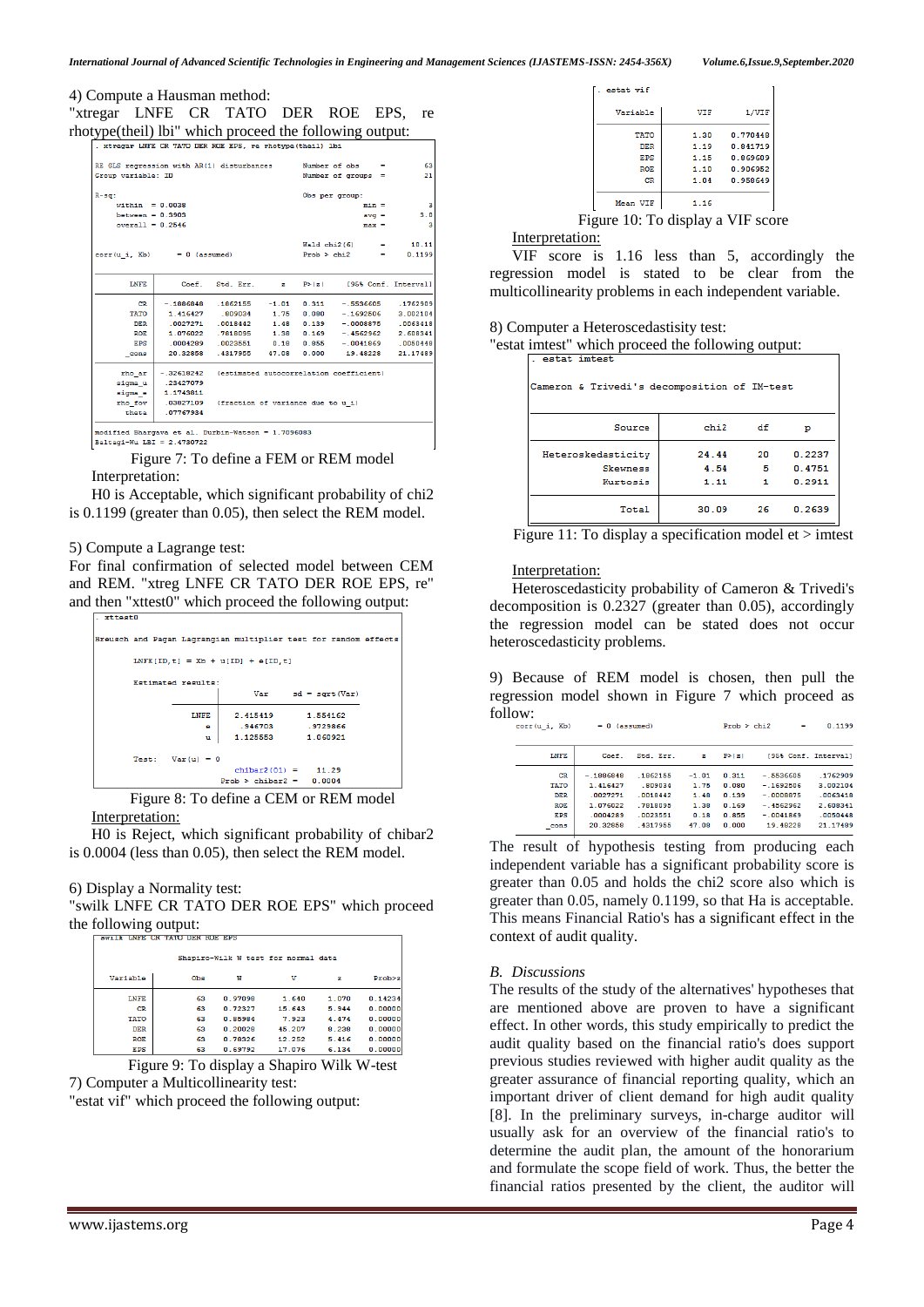| 4) Compute a Hausman method:                            |  |  |  |  |
|---------------------------------------------------------|--|--|--|--|
| "xtregar LNFE CR TATO DER ROE EPS, re                   |  |  |  |  |
| rhotype(theil) lbi" which proceed the following output: |  |  |  |  |

| . xtregar LNFE CR TATO DER ROE EPS, re rhotype(theil) lbi |              |                                             |                        |                |                                         |                      |  |  |
|-----------------------------------------------------------|--------------|---------------------------------------------|------------------------|----------------|-----------------------------------------|----------------------|--|--|
| RE GLS regression with AR(1) disturbances                 |              |                                             |                        |                | Number of $obs =$                       | 63                   |  |  |
| Group variable: ID                                        |              |                                             | Number of groups =     | 21             |                                         |                      |  |  |
|                                                           |              |                                             |                        |                |                                         |                      |  |  |
| $R-gq$ :                                                  |              |                                             |                        | Obs per group: |                                         |                      |  |  |
| within $= 0.0038$                                         |              |                                             |                        |                | $min =$                                 | з                    |  |  |
| $between = 0.3903$                                        |              |                                             |                        |                | $avq =$                                 | 3.0                  |  |  |
| $overall = 0.2546$                                        |              |                                             |                        |                | $max =$                                 | 3                    |  |  |
|                                                           |              |                                             | $Wald chi2(6) = 10.11$ |                |                                         |                      |  |  |
| $corr(u i, Xb) = 0$ (assumed)                             |              |                                             |                        |                | $Prob > chi2$ =                         | 0.1199               |  |  |
|                                                           |              |                                             |                        |                |                                         |                      |  |  |
| <b>LNFE</b>                                               |              | Coef. Std. Err.                             | $\mathbf{z}$ .         | P >  z         |                                         | [95% Conf. Interval] |  |  |
| <b>CR</b>                                                 |              | $-.1886848-.1862155-.1$                     |                        |                | $0.311 - 5536605$                       | .1762909             |  |  |
| TATO                                                      |              | 1.416427 .809034 1.75                       |                        | 0.080          | $-.1692506$                             | 3.002104             |  |  |
| <b>DER</b>                                                |              | .0027271 .0018442 1.48                      |                        | 0.139          | $-.00088750063418$                      |                      |  |  |
| <b>ROE</b>                                                |              | 1.076022 .7818095 1.38                      |                        | 0.169          | $-1.4562962$                            | 2.608341             |  |  |
| EPS                                                       |              | 0.18 0004289 0.18                           |                        |                | $0.855 - 0041869$                       | .0050448             |  |  |
| cons                                                      | 20.32858     | .4317955                                    | 47.08                  | 0.000          | 19.48228                                | 21.17489             |  |  |
| rho ar                                                    | $-.32618242$ |                                             |                        |                | (estimated autocorrelation coefficient) |                      |  |  |
| sigma u                                                   | .23427079    |                                             |                        |                |                                         |                      |  |  |
| sigma e                                                   | 1.1743811    |                                             |                        |                |                                         |                      |  |  |
| rho fov                                                   |              | .03827109 (fraction of variance due to u i) |                        |                |                                         |                      |  |  |
| theta                                                     | .07767934    |                                             |                        |                |                                         |                      |  |  |
| modified Bharqava et al. Durbin-Watson = 1.7096083        |              |                                             |                        |                |                                         |                      |  |  |
| Baltagi-Wu LBI = $2.4730722$                              |              |                                             |                        |                |                                         |                      |  |  |
|                                                           |              |                                             |                        |                |                                         |                      |  |  |

Figure 7: To define a FEM or REM model Interpretation:

H0 is Acceptable, which significant probability of chi2 is 0.1199 (greater than 0.05), then select the REM model.

#### 5) Compute a Lagrange test:

For final confirmation of selected model between CEM and REM. "xtreg LNFE CR TATO DER ROE EPS, re" and then "xttest0" which proceed the following output:



Figure 8: To define a CEM or REM model Interpretation:

H0 is Reject, which significant probability of chibar2 is 0.0004 (less than 0.05), then select the REM model.

#### 6) Display a Normality test:

"swilk LNFE CR TATO DER ROE EPS" which proceed the following output:

| awiia unsa un iaiu uan nua afo      |     |         |        |       |          |  |
|-------------------------------------|-----|---------|--------|-------|----------|--|
| Shapiro-Wilk W test for normal data |     |         |        |       |          |  |
| Variable                            | Obs | w       | v      | z     | Prob > z |  |
| <b>LNFE</b>                         | 63  | 0.97098 | 1.640  | 1.070 | 0.14234  |  |
| <b>CR</b>                           | 63  | 0.72327 | 15.643 | 5.944 | 0.00000  |  |
| <b>TATO</b>                         | 63  | 0.85984 | 7.923  | 4.474 | 0.00000  |  |
| <b>DER</b>                          | 63  | 0.20028 | 45.207 | 8.238 | 0.00000  |  |
| <b>ROE</b>                          | 63  | 0.78326 | 12.252 | 5.416 | 0.00000  |  |
| EPS                                 | 63  | 0.69792 | 17.076 | 6.134 | 0.00000  |  |

Figure 9: To display a Shapiro Wilk W-test 7) Computer a Multicollinearity test:

"estat vif" which proceed the following output:

| estat vif                                       |            |          |  |  |
|-------------------------------------------------|------------|----------|--|--|
| Variable                                        | <b>VIF</b> | 1/VIF    |  |  |
| TATO                                            | 1.30       | 0.770448 |  |  |
| <b>DER</b>                                      | 1.19       | 0.841719 |  |  |
| EPS                                             | 1.15       | 0.869609 |  |  |
| <b>ROE</b>                                      | 1.10       | 0.906952 |  |  |
| CR                                              | 1.04       | 0.958649 |  |  |
| Mean VIF                                        | 1.16       |          |  |  |
| $\ddot{a}$ ang<br>$10.$ To divelay a VIE $\cos$ |            |          |  |  |

### Figure 10: To display a VIF score

#### Interpretation:

VIF score is 1.16 less than 5, accordingly the regression model is stated to be clear from the multicollinearity problems in each independent variable.

#### 8) Computer a Heteroscedastisity test:

"estat imtest" which proceed the following output:

| Cameron & Trivedi's decomposition of IM-test      |                       |              |                            |
|---------------------------------------------------|-----------------------|--------------|----------------------------|
| Source                                            | chi2                  | df           | р                          |
| Heteroskedasticity<br><b>Skewness</b><br>Kurtosis | 24.44<br>4.54<br>1.11 | 20<br>5<br>1 | 0.2237<br>0.4751<br>0.2911 |
| Total                                             | 30.09                 | 26           | 0.2639                     |

Figure 11: To display a specification model et  $>$  imtest

#### Interpretation:

Heteroscedasticity probability of Cameron & Trivedi's decomposition is 0.2327 (greater than 0.05), accordingly the regression model can be stated does not occur heteroscedasticity problems.

9) Because of REM model is chosen, then pull the regression model shown in Figure 7 which proceed as follow:  $= 0$  (aggiumed)  $$ 

|             |           |         |        |                      | .        |
|-------------|-----------|---------|--------|----------------------|----------|
| Coef.       | Std. Err. | z       | P >  z | [95% Conf. Interval] |          |
| $-.1886848$ | .1862155  | $-1.01$ | 0.311  | $-.5536605$          | .1762909 |
| 1.416427    | 809034    | 1.75    | 0.080  | $-1692506$           | 3.002104 |
| 0027271     | 0018442   | 148     | 0.139  | $-0008875$           | 0063418  |
| 1 076022    | 7818095   | 1.38    | 0.169  | $-4562962$           | 2 608341 |
| 0004289     | 0023551   | 0.18    | 0.855  | $-0041869$           | 0050448  |
| 20.32858    | 4317955   | 47.08   | 0.000  | 19.48228             | 21.17489 |
|             |           |         |        |                      |          |

The result of hypothesis testing from producing each independent variable has a significant probability score is greater than 0.05 and holds the chi2 score also which is greater than 0.05, namely 0.1199, so that Ha is acceptable. This means Financial Ratio's has a significant effect in the context of audit quality.

#### *B. Discussions*

The results of the study of the alternatives' hypotheses that are mentioned above are proven to have a significant effect. In other words, this study empirically to predict the audit quality based on the financial ratio's does support previous studies reviewed with higher audit quality as the greater assurance of financial reporting quality, which an important driver of client demand for high audit quality [8]. In the preliminary surveys, in-charge auditor will usually ask for an overview of the financial ratio's to determine the audit plan, the amount of the honorarium and formulate the scope field of work. Thus, the better the financial ratios presented by the client, the auditor will